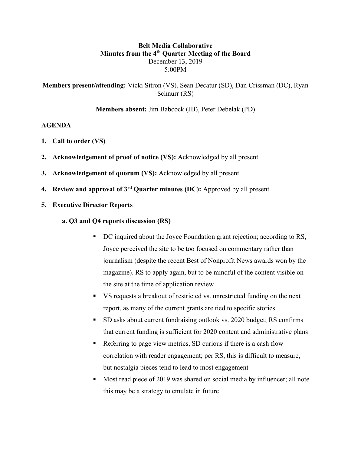### **Belt Media Collaborative Minutes from the 4th Quarter Meeting of the Board** December 13, 2019 5:00PM

**Members present/attending:** Vicki Sitron (VS), Sean Decatur (SD), Dan Crissman (DC), Ryan Schnurr (RS)

**Members absent:** Jim Babcock (JB), Peter Debelak (PD)

#### **AGENDA**

- **1. Call to order (VS)**
- **2. Acknowledgement of proof of notice (VS):** Acknowledged by all present
- **3. Acknowledgement of quorum (VS):** Acknowledged by all present
- **4. Review and approval of 3rd Quarter minutes (DC):** Approved by all present
- **5. Executive Director Reports**
	- **a. Q3 and Q4 reports discussion (RS)**
		- DC inquired about the Joyce Foundation grant rejection; according to RS, Joyce perceived the site to be too focused on commentary rather than journalism (despite the recent Best of Nonprofit News awards won by the magazine). RS to apply again, but to be mindful of the content visible on the site at the time of application review
		- § VS requests a breakout of restricted vs. unrestricted funding on the next report, as many of the current grants are tied to specific stories
		- § SD asks about current fundraising outlook vs. 2020 budget; RS confirms that current funding is sufficient for 2020 content and administrative plans
		- Referring to page view metrics, SD curious if there is a cash flow correlation with reader engagement; per RS, this is difficult to measure, but nostalgia pieces tend to lead to most engagement
		- Most read piece of 2019 was shared on social media by influencer; all note this may be a strategy to emulate in future